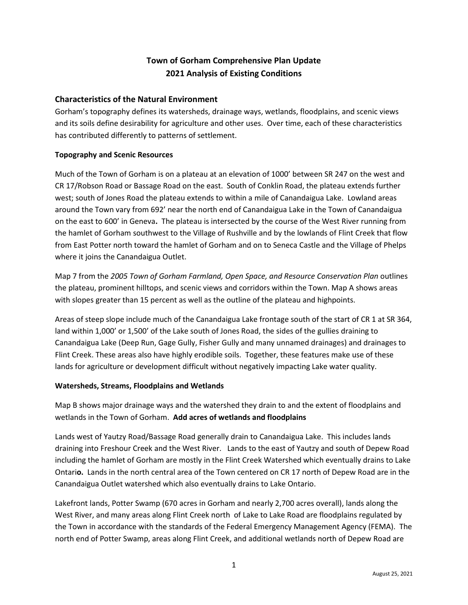# **Town of Gorham Comprehensive Plan Update 2021 Analysis of Existing Conditions**

## **Characteristics of the Natural Environment**

Gorham's topography defines its watersheds, drainage ways, wetlands, floodplains, and scenic views and its soils define desirability for agriculture and other uses. Over time, each of these characteristics has contributed differently to patterns of settlement.

#### **Topography and Scenic Resources**

Much of the Town of Gorham is on a plateau at an elevation of 1000' between SR 247 on the west and CR 17/Robson Road or Bassage Road on the east. South of Conklin Road, the plateau extends further west; south of Jones Road the plateau extends to within a mile of Canandaigua Lake. Lowland areas around the Town vary from 692' near the north end of Canandaigua Lake in the Town of Canandaigua on the east to 600' in Geneva**.** The plateau is intersected by the course of the West River running from the hamlet of Gorham southwest to the Village of Rushville and by the lowlands of Flint Creek that flow from East Potter north toward the hamlet of Gorham and on to Seneca Castle and the Village of Phelps where it joins the Canandaigua Outlet.

Map 7 from the *2005 Town of Gorham Farmland, Open Space, and Resource Conservation Plan* outlines the plateau, prominent hilltops, and scenic views and corridors within the Town. Map A shows areas with slopes greater than 15 percent as well as the outline of the plateau and highpoints.

Areas of steep slope include much of the Canandaigua Lake frontage south of the start of CR 1 at SR 364, land within 1,000' or 1,500' of the Lake south of Jones Road, the sides of the gullies draining to Canandaigua Lake (Deep Run, Gage Gully, Fisher Gully and many unnamed drainages) and drainages to Flint Creek. These areas also have highly erodible soils. Together, these features make use of these lands for agriculture or development difficult without negatively impacting Lake water quality.

#### **Watersheds, Streams, Floodplains and Wetlands**

Map B shows major drainage ways and the watershed they drain to and the extent of floodplains and wetlands in the Town of Gorham. **Add acres of wetlands and floodplains**

Lands west of Yautzy Road/Bassage Road generally drain to Canandaigua Lake. This includes lands draining into Freshour Creek and the West River. Lands to the east of Yautzy and south of Depew Road including the hamlet of Gorham are mostly in the Flint Creek Watershed which eventually drains to Lake Ontari**o.** Lands in the north central area of the Town centered on CR 17 north of Depew Road are in the Canandaigua Outlet watershed which also eventually drains to Lake Ontario.

Lakefront lands, Potter Swamp (670 acres in Gorham and nearly 2,700 acres overall), lands along the West River, and many areas along Flint Creek north of Lake to Lake Road are floodplains regulated by the Town in accordance with the standards of the Federal Emergency Management Agency (FEMA). The north end of Potter Swamp, areas along Flint Creek, and additional wetlands north of Depew Road are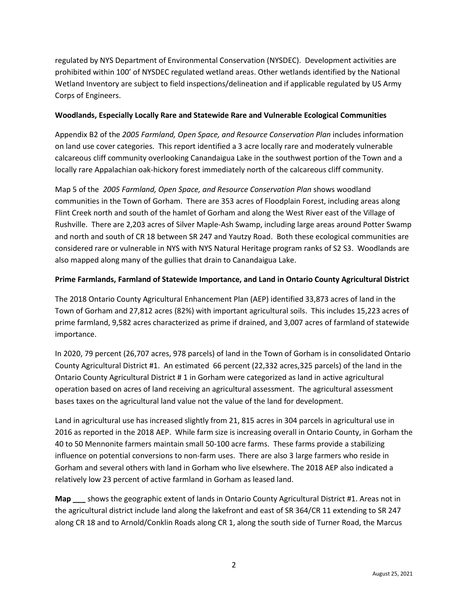regulated by NYS Department of Environmental Conservation (NYSDEC). Development activities are prohibited within 100' of NYSDEC regulated wetland areas. Other wetlands identified by the National Wetland Inventory are subject to field inspections/delineation and if applicable regulated by US Army Corps of Engineers.

#### **Woodlands, Especially Locally Rare and Statewide Rare and Vulnerable Ecological Communities**

Appendix B2 of the *2005 Farmland, Open Space, and Resource Conservation Plan* includes information on land use cover categories. This report identified a 3 acre locally rare and moderately vulnerable calcareous cliff community overlooking Canandaigua Lake in the southwest portion of the Town and a locally rare Appalachian oak-hickory forest immediately north of the calcareous cliff community.

Map 5 of the *2005 Farmland, Open Space, and Resource Conservation Plan* shows woodland communities in the Town of Gorham. There are 353 acres of Floodplain Forest, including areas along Flint Creek north and south of the hamlet of Gorham and along the West River east of the Village of Rushville. There are 2,203 acres of Silver Maple-Ash Swamp, including large areas around Potter Swamp and north and south of CR 18 between SR 247 and Yautzy Road. Both these ecological communities are considered rare or vulnerable in NYS with NYS Natural Heritage program ranks of S2 S3. Woodlands are also mapped along many of the gullies that drain to Canandaigua Lake.

## **Prime Farmlands, Farmland of Statewide Importance, and Land in Ontario County Agricultural District**

The 2018 Ontario County Agricultural Enhancement Plan (AEP) identified 33,873 acres of land in the Town of Gorham and 27,812 acres (82%) with important agricultural soils. This includes 15,223 acres of prime farmland, 9,582 acres characterized as prime if drained, and 3,007 acres of farmland of statewide importance.

In 2020, 79 percent (26,707 acres, 978 parcels) of land in the Town of Gorham is in consolidated Ontario County Agricultural District #1. An estimated 66 percent (22,332 acres,325 parcels) of the land in the Ontario County Agricultural District # 1 in Gorham were categorized as land in active agricultural operation based on acres of land receiving an agricultural assessment. The agricultural assessment bases taxes on the agricultural land value not the value of the land for development.

Land in agricultural use has increased slightly from 21, 815 acres in 304 parcels in agricultural use in 2016 as reported in the 2018 AEP. While farm size is increasing overall in Ontario County, in Gorham the 40 to 50 Mennonite farmers maintain small 50-100 acre farms. These farms provide a stabilizing influence on potential conversions to non-farm uses. There are also 3 large farmers who reside in Gorham and several others with land in Gorham who live elsewhere. The 2018 AEP also indicated a relatively low 23 percent of active farmland in Gorham as leased land.

**Map \_\_\_** shows the geographic extent of lands in Ontario County Agricultural District #1. Areas not in the agricultural district include land along the lakefront and east of SR 364/CR 11 extending to SR 247 along CR 18 and to Arnold/Conklin Roads along CR 1, along the south side of Turner Road, the Marcus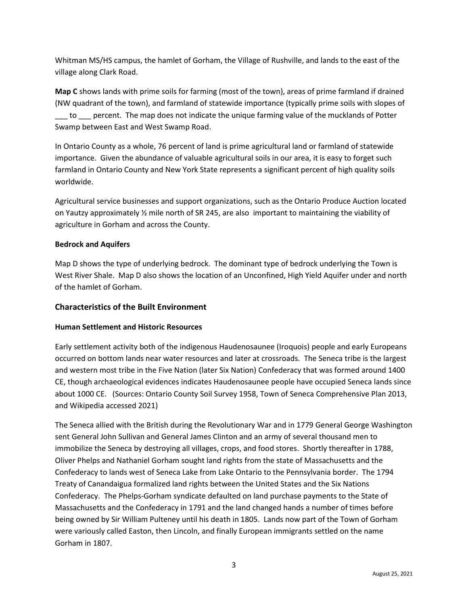Whitman MS/HS campus, the hamlet of Gorham, the Village of Rushville, and lands to the east of the village along Clark Road.

**Map C** shows lands with prime soils for farming (most of the town), areas of prime farmland if drained (NW quadrant of the town), and farmland of statewide importance (typically prime soils with slopes of \_\_\_ to \_\_\_ percent. The map does not indicate the unique farming value of the mucklands of Potter Swamp between East and West Swamp Road.

In Ontario County as a whole, 76 percent of land is prime agricultural land or farmland of statewide importance. Given the abundance of valuable agricultural soils in our area, it is easy to forget such farmland in Ontario County and New York State represents a significant percent of high quality soils worldwide.

Agricultural service businesses and support organizations, such as the Ontario Produce Auction located on Yautzy approximately ½ mile north of SR 245, are also important to maintaining the viability of agriculture in Gorham and across the County.

### **Bedrock and Aquifers**

Map D shows the type of underlying bedrock. The dominant type of bedrock underlying the Town is West River Shale. Map D also shows the location of an Unconfined, High Yield Aquifer under and north of the hamlet of Gorham.

## **Characteristics of the Built Environment**

#### **Human Settlement and Historic Resources**

Early settlement activity both of the indigenous Haudenosaunee (Iroquois) people and early Europeans occurred on bottom lands near water resources and later at crossroads. The Seneca tribe is the largest and western most tribe in the Five Nation (later Six Nation) Confederacy that was formed around 1400 CE, though archaeological evidences indicates Haudenosaunee people have occupied Seneca lands since about 1000 CE. (Sources: Ontario County Soil Survey 1958, Town of Seneca Comprehensive Plan 2013, and Wikipedia accessed 2021)

The Seneca allied with the British during the Revolutionary War and in 1779 General George Washington sent General John Sullivan and General James Clinton and an army of several thousand men to immobilize the Seneca by destroying all villages, crops, and food stores. Shortly thereafter in 1788, Oliver Phelps and Nathaniel Gorham sought land rights from the state of Massachusetts and the Confederacy to lands west of Seneca Lake from Lake Ontario to the Pennsylvania border. The 1794 Treaty of Canandaigua formalized land rights between the United States and the Six Nations Confederacy. The Phelps-Gorham syndicate defaulted on land purchase payments to the State of Massachusetts and the Confederacy in 1791 and the land changed hands a number of times before being owned by Sir William Pulteney until his death in 1805. Lands now part of the Town of Gorham were variously called Easton, then Lincoln, and finally European immigrants settled on the name Gorham in 1807.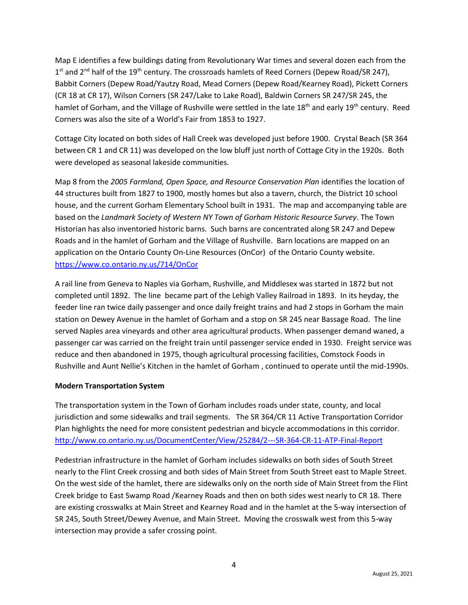Map E identifies a few buildings dating from Revolutionary War times and several dozen each from the 1<sup>st</sup> and 2<sup>nd</sup> half of the 19<sup>th</sup> century. The crossroads hamlets of Reed Corners (Depew Road/SR 247), Babbit Corners (Depew Road/Yautzy Road, Mead Corners (Depew Road/Kearney Road), Pickett Corners (CR 18 at CR 17), Wilson Corners (SR 247/Lake to Lake Road), Baldwin Corners SR 247/SR 245, the hamlet of Gorham, and the Village of Rushville were settled in the late 18<sup>th</sup> and early 19<sup>th</sup> century. Reed Corners was also the site of a World's Fair from 1853 to 1927.

Cottage City located on both sides of Hall Creek was developed just before 1900. Crystal Beach (SR 364 between CR 1 and CR 11) was developed on the low bluff just north of Cottage City in the 1920s. Both were developed as seasonal lakeside communities.

Map 8 from the *2005 Farmland, Open Space, and Resource Conservation Plan* identifies the location of 44 structures built from 1827 to 1900, mostly homes but also a tavern, church, the District 10 school house, and the current Gorham Elementary School built in 1931. The map and accompanying table are based on the *Landmark Society of Western NY Town of Gorham Historic Resource Survey*. The Town Historian has also inventoried historic barns. Such barns are concentrated along SR 247 and Depew Roads and in the hamlet of Gorham and the Village of Rushville. Barn locations are mapped on an application on the Ontario County On-Line Resources (OnCor) of the Ontario County website. <https://www.co.ontario.ny.us/714/OnCor>

A rail line from Geneva to Naples via Gorham, Rushville, and Middlesex was started in 1872 but not completed until 1892. The line became part of the Lehigh Valley Railroad in 1893. In its heyday, the feeder line ran twice daily passenger and once daily freight trains and had 2 stops in Gorham the main station on Dewey Avenue in the hamlet of Gorham and a stop on SR 245 near Bassage Road. The line served Naples area vineyards and other area agricultural products. When passenger demand waned, a passenger car was carried on the freight train until passenger service ended in 1930. Freight service was reduce and then abandoned in 1975, though agricultural processing facilities, Comstock Foods in Rushville and Aunt Nellie's Kitchen in the hamlet of Gorham , continued to operate until the mid-1990s.

#### **Modern Transportation System**

The transportation system in the Town of Gorham includes roads under state, county, and local jurisdiction and some sidewalks and trail segments. The SR 364/CR 11 Active Transportation Corridor Plan highlights the need for more consistent pedestrian and bicycle accommodations in this corridor. <http://www.co.ontario.ny.us/DocumentCenter/View/25284/2---SR-364-CR-11-ATP-Final-Report>

Pedestrian infrastructure in the hamlet of Gorham includes sidewalks on both sides of South Street nearly to the Flint Creek crossing and both sides of Main Street from South Street east to Maple Street. On the west side of the hamlet, there are sidewalks only on the north side of Main Street from the Flint Creek bridge to East Swamp Road /Kearney Roads and then on both sides west nearly to CR 18. There are existing crosswalks at Main Street and Kearney Road and in the hamlet at the 5-way intersection of SR 245, South Street/Dewey Avenue, and Main Street. Moving the crosswalk west from this 5-way intersection may provide a safer crossing point.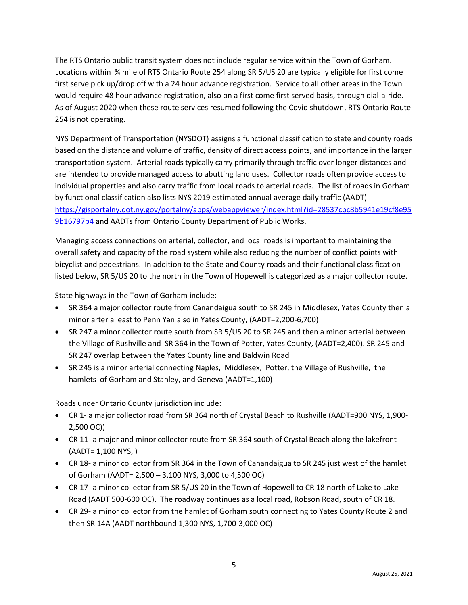The RTS Ontario public transit system does not include regular service within the Town of Gorham. Locations within ¾ mile of RTS Ontario Route 254 along SR 5/US 20 are typically eligible for first come first serve pick up/drop off with a 24 hour advance registration. Service to all other areas in the Town would require 48 hour advance registration, also on a first come first served basis, through dial-a-ride. As of August 2020 when these route services resumed following the Covid shutdown, RTS Ontario Route 254 is not operating.

NYS Department of Transportation (NYSDOT) assigns a functional classification to state and county roads based on the distance and volume of traffic, density of direct access points, and importance in the larger transportation system. Arterial roads typically carry primarily through traffic over longer distances and are intended to provide managed access to abutting land uses. Collector roads often provide access to individual properties and also carry traffic from local roads to arterial roads. The list of roads in Gorham by functional classification also lists NYS 2019 estimated annual average daily traffic (AADT) [https://gisportalny.dot.ny.gov/portalny/apps/webappviewer/index.html?id=28537cbc8b5941e19cf8e95](https://gisportalny.dot.ny.gov/portalny/apps/webappviewer/index.html?id=28537cbc8b5941e19cf8e959b16797b4) [9b16797b4](https://gisportalny.dot.ny.gov/portalny/apps/webappviewer/index.html?id=28537cbc8b5941e19cf8e959b16797b4) and AADTs from Ontario County Department of Public Works.

Managing access connections on arterial, collector, and local roads is important to maintaining the overall safety and capacity of the road system while also reducing the number of conflict points with bicyclist and pedestrians. In addition to the State and County roads and their functional classification listed below, SR 5/US 20 to the north in the Town of Hopewell is categorized as a major collector route.

State highways in the Town of Gorham include:

- SR 364 a major collector route from Canandaigua south to SR 245 in Middlesex, Yates County then a minor arterial east to Penn Yan also in Yates County, (AADT=2,200-6,700)
- SR 247 a minor collector route south from SR 5/US 20 to SR 245 and then a minor arterial between the Village of Rushville and SR 364 in the Town of Potter, Yates County, (AADT=2,400). SR 245 and SR 247 overlap between the Yates County line and Baldwin Road
- SR 245 is a minor arterial connecting Naples, Middlesex, Potter, the Village of Rushville, the hamlets of Gorham and Stanley, and Geneva (AADT=1,100)

Roads under Ontario County jurisdiction include:

- CR 1- a major collector road from SR 364 north of Crystal Beach to Rushville (AADT=900 NYS, 1,900- 2,500 OC))
- CR 11- a major and minor collector route from SR 364 south of Crystal Beach along the lakefront (AADT= 1,100 NYS, )
- CR 18- a minor collector from SR 364 in the Town of Canandaigua to SR 245 just west of the hamlet of Gorham (AADT= 2,500 – 3,100 NYS, 3,000 to 4,500 OC)
- CR 17- a minor collector from SR 5/US 20 in the Town of Hopewell to CR 18 north of Lake to Lake Road (AADT 500-600 OC). The roadway continues as a local road, Robson Road, south of CR 18.
- CR 29- a minor collector from the hamlet of Gorham south connecting to Yates County Route 2 and then SR 14A (AADT northbound 1,300 NYS, 1,700-3,000 OC)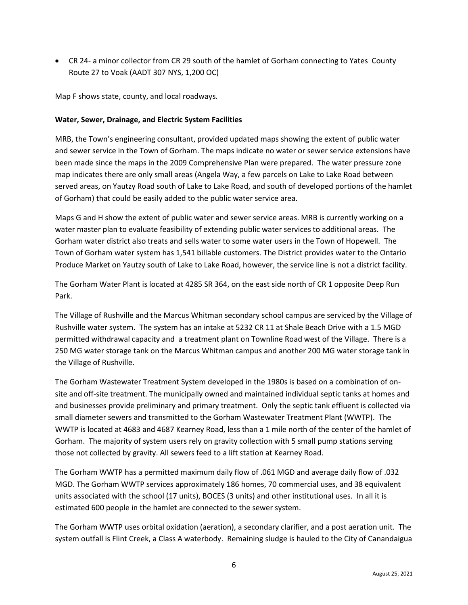• CR 24- a minor collector from CR 29 south of the hamlet of Gorham connecting to Yates County Route 27 to Voak (AADT 307 NYS, 1,200 OC)

Map F shows state, county, and local roadways.

#### **Water, Sewer, Drainage, and Electric System Facilities**

MRB, the Town's engineering consultant, provided updated maps showing the extent of public water and sewer service in the Town of Gorham. The maps indicate no water or sewer service extensions have been made since the maps in the 2009 Comprehensive Plan were prepared. The water pressure zone map indicates there are only small areas (Angela Way, a few parcels on Lake to Lake Road between served areas, on Yautzy Road south of Lake to Lake Road, and south of developed portions of the hamlet of Gorham) that could be easily added to the public water service area.

Maps G and H show the extent of public water and sewer service areas. MRB is currently working on a water master plan to evaluate feasibility of extending public water services to additional areas. The Gorham water district also treats and sells water to some water users in the Town of Hopewell. The Town of Gorham water system has 1,541 billable customers. The District provides water to the Ontario Produce Market on Yautzy south of Lake to Lake Road, however, the service line is not a district facility.

The Gorham Water Plant is located at 4285 SR 364, on the east side north of CR 1 opposite Deep Run Park.

The Village of Rushville and the Marcus Whitman secondary school campus are serviced by the Village of Rushville water system. The system has an intake at 5232 CR 11 at Shale Beach Drive with a 1.5 MGD permitted withdrawal capacity and a treatment plant on Townline Road west of the Village. There is a 250 MG water storage tank on the Marcus Whitman campus and another 200 MG water storage tank in the Village of Rushville.

The Gorham Wastewater Treatment System developed in the 1980s is based on a combination of onsite and off-site treatment. The municipally owned and maintained individual septic tanks at homes and and businesses provide preliminary and primary treatment. Only the septic tank effluent is collected via small diameter sewers and transmitted to the Gorham Wastewater Treatment Plant (WWTP). The WWTP is located at 4683 and 4687 Kearney Road, less than a 1 mile north of the center of the hamlet of Gorham. The majority of system users rely on gravity collection with 5 small pump stations serving those not collected by gravity. All sewers feed to a lift station at Kearney Road.

The Gorham WWTP has a permitted maximum daily flow of .061 MGD and average daily flow of .032 MGD. The Gorham WWTP services approximately 186 homes, 70 commercial uses, and 38 equivalent units associated with the school (17 units), BOCES (3 units) and other institutional uses. In all it is estimated 600 people in the hamlet are connected to the sewer system.

The Gorham WWTP uses orbital oxidation (aeration), a secondary clarifier, and a post aeration unit. The system outfall is Flint Creek, a Class A waterbody. Remaining sludge is hauled to the City of Canandaigua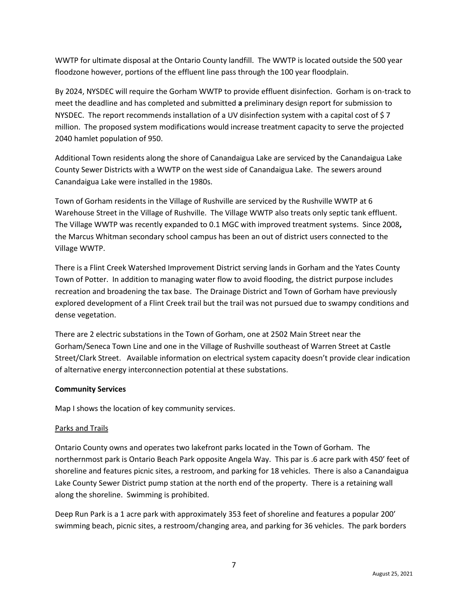WWTP for ultimate disposal at the Ontario County landfill. The WWTP is located outside the 500 year floodzone however, portions of the effluent line pass through the 100 year floodplain.

By 2024, NYSDEC will require the Gorham WWTP to provide effluent disinfection. Gorham is on-track to meet the deadline and has completed and submitted **a** preliminary design report for submission to NYSDEC. The report recommends installation of a UV disinfection system with a capital cost of \$7 million. The proposed system modifications would increase treatment capacity to serve the projected 2040 hamlet population of 950.

Additional Town residents along the shore of Canandaigua Lake are serviced by the Canandaigua Lake County Sewer Districts with a WWTP on the west side of Canandaigua Lake. The sewers around Canandaigua Lake were installed in the 1980s.

Town of Gorham residents in the Village of Rushville are serviced by the Rushville WWTP at 6 Warehouse Street in the Village of Rushville. The Village WWTP also treats only septic tank effluent. The Village WWTP was recently expanded to 0.1 MGC with improved treatment systems. Since 2008**,**  the Marcus Whitman secondary school campus has been an out of district users connected to the Village WWTP.

There is a Flint Creek Watershed Improvement District serving lands in Gorham and the Yates County Town of Potter. In addition to managing water flow to avoid flooding, the district purpose includes recreation and broadening the tax base. The Drainage District and Town of Gorham have previously explored development of a Flint Creek trail but the trail was not pursued due to swampy conditions and dense vegetation.

There are 2 electric substations in the Town of Gorham, one at 2502 Main Street near the Gorham/Seneca Town Line and one in the Village of Rushville southeast of Warren Street at Castle Street/Clark Street. Available information on electrical system capacity doesn't provide clear indication of alternative energy interconnection potential at these substations.

#### **Community Services**

Map I shows the location of key community services.

#### Parks and Trails

Ontario County owns and operates two lakefront parks located in the Town of Gorham. The northernmost park is Ontario Beach Park opposite Angela Way. This par is .6 acre park with 450' feet of shoreline and features picnic sites, a restroom, and parking for 18 vehicles. There is also a Canandaigua Lake County Sewer District pump station at the north end of the property. There is a retaining wall along the shoreline. Swimming is prohibited.

Deep Run Park is a 1 acre park with approximately 353 feet of shoreline and features a popular 200' swimming beach, picnic sites, a restroom/changing area, and parking for 36 vehicles. The park borders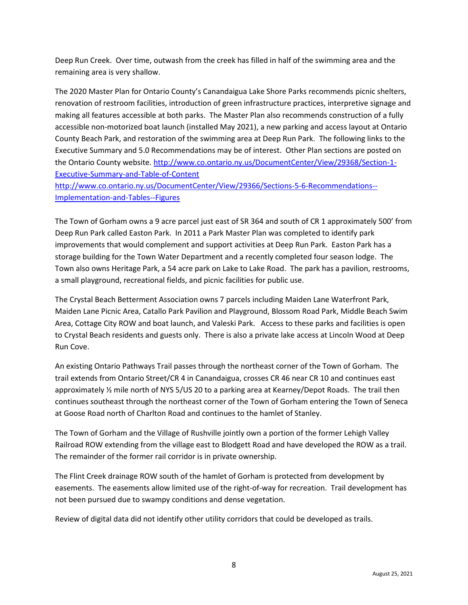Deep Run Creek. Over time, outwash from the creek has filled in half of the swimming area and the remaining area is very shallow.

The 2020 Master Plan for Ontario County's Canandaigua Lake Shore Parks recommends picnic shelters, renovation of restroom facilities, introduction of green infrastructure practices, interpretive signage and making all features accessible at both parks. The Master Plan also recommends construction of a fully accessible non-motorized boat launch (installed May 2021), a new parking and access layout at Ontario County Beach Park, and restoration of the swimming area at Deep Run Park. The following links to the Executive Summary and 5.0 Recommendations may be of interest. Other Plan sections are posted on the Ontario County website. [http://www.co.ontario.ny.us/DocumentCenter/View/29368/Section-1-](http://www.co.ontario.ny.us/DocumentCenter/View/29368/Section-1-Executive-Summary-and-Table-of-Content) [Executive-Summary-and-Table-of-Content](http://www.co.ontario.ny.us/DocumentCenter/View/29368/Section-1-Executive-Summary-and-Table-of-Content)

[http://www.co.ontario.ny.us/DocumentCenter/View/29366/Sections-5-6-Recommendations--](http://www.co.ontario.ny.us/DocumentCenter/View/29366/Sections-5-6-Recommendations--Implementation-and-Tables--Figures) [Implementation-and-Tables--Figures](http://www.co.ontario.ny.us/DocumentCenter/View/29366/Sections-5-6-Recommendations--Implementation-and-Tables--Figures)

The Town of Gorham owns a 9 acre parcel just east of SR 364 and south of CR 1 approximately 500' from Deep Run Park called Easton Park. In 2011 a Park Master Plan was completed to identify park improvements that would complement and support activities at Deep Run Park. Easton Park has a storage building for the Town Water Department and a recently completed four season lodge. The Town also owns Heritage Park, a 54 acre park on Lake to Lake Road. The park has a pavilion, restrooms, a small playground, recreational fields, and picnic facilities for public use.

The Crystal Beach Betterment Association owns 7 parcels including Maiden Lane Waterfront Park, Maiden Lane Picnic Area, Catallo Park Pavilion and Playground, Blossom Road Park, Middle Beach Swim Area, Cottage City ROW and boat launch, and Valeski Park. Access to these parks and facilities is open to Crystal Beach residents and guests only. There is also a private lake access at Lincoln Wood at Deep Run Cove.

An existing Ontario Pathways Trail passes through the northeast corner of the Town of Gorham. The trail extends from Ontario Street/CR 4 in Canandaigua, crosses CR 46 near CR 10 and continues east approximately ½ mile north of NYS 5/US 20 to a parking area at Kearney/Depot Roads. The trail then continues southeast through the northeast corner of the Town of Gorham entering the Town of Seneca at Goose Road north of Charlton Road and continues to the hamlet of Stanley.

The Town of Gorham and the Village of Rushville jointly own a portion of the former Lehigh Valley Railroad ROW extending from the village east to Blodgett Road and have developed the ROW as a trail. The remainder of the former rail corridor is in private ownership.

The Flint Creek drainage ROW south of the hamlet of Gorham is protected from development by easements. The easements allow limited use of the right-of-way for recreation. Trail development has not been pursued due to swampy conditions and dense vegetation.

Review of digital data did not identify other utility corridors that could be developed as trails.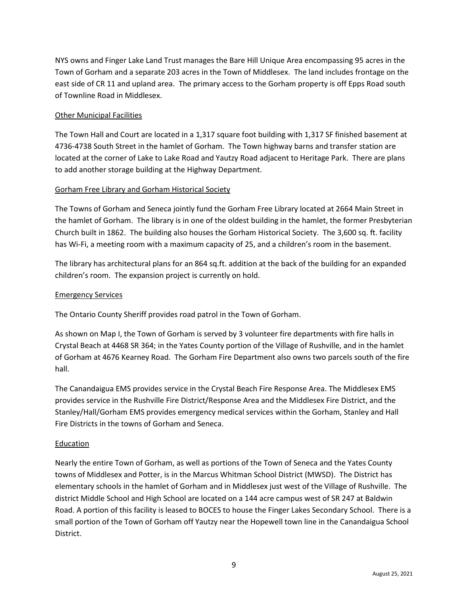NYS owns and Finger Lake Land Trust manages the Bare Hill Unique Area encompassing 95 acres in the Town of Gorham and a separate 203 acres in the Town of Middlesex. The land includes frontage on the east side of CR 11 and upland area. The primary access to the Gorham property is off Epps Road south of Townline Road in Middlesex.

### Other Municipal Facilities

The Town Hall and Court are located in a 1,317 square foot building with 1,317 SF finished basement at 4736-4738 South Street in the hamlet of Gorham. The Town highway barns and transfer station are located at the corner of Lake to Lake Road and Yautzy Road adjacent to Heritage Park. There are plans to add another storage building at the Highway Department.

### Gorham Free Library and Gorham Historical Society

The Towns of Gorham and Seneca jointly fund the Gorham Free Library located at 2664 Main Street in the hamlet of Gorham. The library is in one of the oldest building in the hamlet, the former Presbyterian Church built in 1862. The building also houses the Gorham Historical Society. The 3,600 sq. ft. facility has Wi-Fi, a meeting room with a maximum capacity of 25, and a children's room in the basement.

The library has architectural plans for an 864 sq.ft. addition at the back of the building for an expanded children's room. The expansion project is currently on hold.

#### Emergency Services

The Ontario County Sheriff provides road patrol in the Town of Gorham.

As shown on Map I, the Town of Gorham is served by 3 volunteer fire departments with fire halls in Crystal Beach at 4468 SR 364; in the Yates County portion of the Village of Rushville, and in the hamlet of Gorham at 4676 Kearney Road. The Gorham Fire Department also owns two parcels south of the fire hall.

The Canandaigua EMS provides service in the Crystal Beach Fire Response Area. The Middlesex EMS provides service in the Rushville Fire District/Response Area and the Middlesex Fire District, and the Stanley/Hall/Gorham EMS provides emergency medical services within the Gorham, Stanley and Hall Fire Districts in the towns of Gorham and Seneca.

#### Education

Nearly the entire Town of Gorham, as well as portions of the Town of Seneca and the Yates County towns of Middlesex and Potter, is in the Marcus Whitman School District (MWSD). The District has elementary schools in the hamlet of Gorham and in Middlesex just west of the Village of Rushville. The district Middle School and High School are located on a 144 acre campus west of SR 247 at Baldwin Road. A portion of this facility is leased to BOCES to house the Finger Lakes Secondary School. There is a small portion of the Town of Gorham off Yautzy near the Hopewell town line in the Canandaigua School District.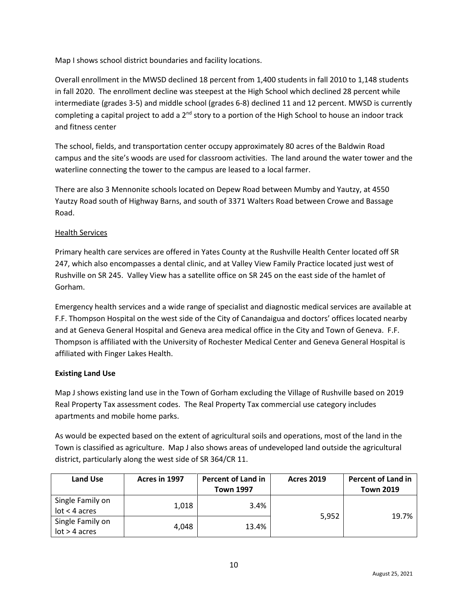Map I shows school district boundaries and facility locations.

Overall enrollment in the MWSD declined 18 percent from 1,400 students in fall 2010 to 1,148 students in fall 2020. The enrollment decline was steepest at the High School which declined 28 percent while intermediate (grades 3-5) and middle school (grades 6-8) declined 11 and 12 percent. MWSD is currently completing a capital project to add a  $2^{nd}$  story to a portion of the High School to house an indoor track and fitness center

The school, fields, and transportation center occupy approximately 80 acres of the Baldwin Road campus and the site's woods are used for classroom activities. The land around the water tower and the waterline connecting the tower to the campus are leased to a local farmer.

There are also 3 Mennonite schools located on Depew Road between Mumby and Yautzy, at 4550 Yautzy Road south of Highway Barns, and south of 3371 Walters Road between Crowe and Bassage Road.

### Health Services

Primary health care services are offered in Yates County at the Rushville Health Center located off SR 247, which also encompasses a dental clinic, and at Valley View Family Practice located just west of Rushville on SR 245. Valley View has a satellite office on SR 245 on the east side of the hamlet of Gorham.

Emergency health services and a wide range of specialist and diagnostic medical services are available at F.F. Thompson Hospital on the west side of the City of Canandaigua and doctors' offices located nearby and at Geneva General Hospital and Geneva area medical office in the City and Town of Geneva. F.F. Thompson is affiliated with the University of Rochester Medical Center and Geneva General Hospital is affiliated with Finger Lakes Health.

## **Existing Land Use**

Map J shows existing land use in the Town of Gorham excluding the Village of Rushville based on 2019 Real Property Tax assessment codes. The Real Property Tax commercial use category includes apartments and mobile home parks.

As would be expected based on the extent of agricultural soils and operations, most of the land in the Town is classified as agriculture. Map J also shows areas of undeveloped land outside the agricultural district, particularly along the west side of SR 364/CR 11.

| <b>Land Use</b>                     | Acres in 1997 | <b>Percent of Land in</b><br><b>Town 1997</b> | <b>Acres 2019</b> | <b>Percent of Land in</b><br><b>Town 2019</b> |
|-------------------------------------|---------------|-----------------------------------------------|-------------------|-----------------------------------------------|
| Single Family on<br>$lot < 4$ acres | 1,018         | 3.4%                                          | 5,952             | 19.7%                                         |
| Single Family on<br>$lot > 4$ acres | 4.048         | 13.4%                                         |                   |                                               |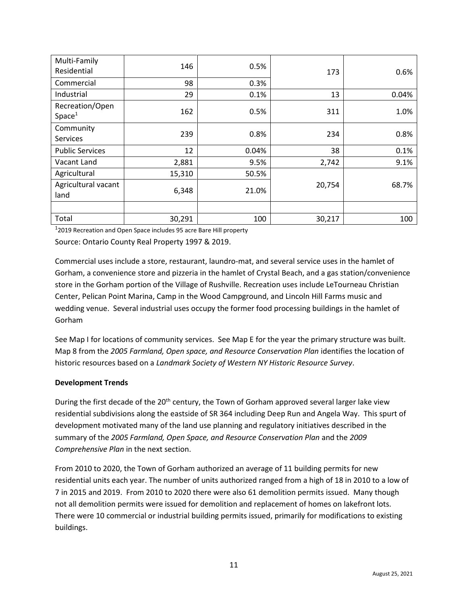| Multi-Family<br>Residential           | 146    | 0.5%  | 173    | 0.6%  |
|---------------------------------------|--------|-------|--------|-------|
| Commercial                            | 98     | 0.3%  |        |       |
| Industrial                            | 29     | 0.1%  | 13     | 0.04% |
| Recreation/Open<br>Space <sup>1</sup> | 162    | 0.5%  | 311    | 1.0%  |
| Community<br><b>Services</b>          | 239    | 0.8%  | 234    | 0.8%  |
| <b>Public Services</b>                | 12     | 0.04% | 38     | 0.1%  |
| Vacant Land                           | 2,881  | 9.5%  | 2,742  | 9.1%  |
| Agricultural                          | 15,310 | 50.5% |        |       |
| Agricultural vacant<br>land           | 6,348  | 21.0% | 20,754 | 68.7% |
|                                       |        |       |        |       |
| Total                                 | 30,291 | 100   | 30,217 | 100   |

 $1$ 2019 Recreation and Open Space includes 95 acre Bare Hill property

Source: Ontario County Real Property 1997 & 2019.

Commercial uses include a store, restaurant, laundro-mat, and several service uses in the hamlet of Gorham, a convenience store and pizzeria in the hamlet of Crystal Beach, and a gas station/convenience store in the Gorham portion of the Village of Rushville. Recreation uses include LeTourneau Christian Center, Pelican Point Marina, Camp in the Wood Campground, and Lincoln Hill Farms music and wedding venue. Several industrial uses occupy the former food processing buildings in the hamlet of Gorham

See Map I for locations of community services. See Map E for the year the primary structure was built. Map 8 from the *2005 Farmland, Open space, and Resource Conservation Plan* identifies the location of historic resources based on a *Landmark Society of Western NY Historic Resource Survey*.

#### **Development Trends**

During the first decade of the 20<sup>th</sup> century, the Town of Gorham approved several larger lake view residential subdivisions along the eastside of SR 364 including Deep Run and Angela Way. This spurt of development motivated many of the land use planning and regulatory initiatives described in the summary of the *2005 Farmland, Open Space, and Resource Conservation Plan* and the *2009 Comprehensive Plan* in the next section.

From 2010 to 2020, the Town of Gorham authorized an average of 11 building permits for new residential units each year. The number of units authorized ranged from a high of 18 in 2010 to a low of 7 in 2015 and 2019. From 2010 to 2020 there were also 61 demolition permits issued. Many though not all demolition permits were issued for demolition and replacement of homes on lakefront lots. There were 10 commercial or industrial building permits issued, primarily for modifications to existing buildings.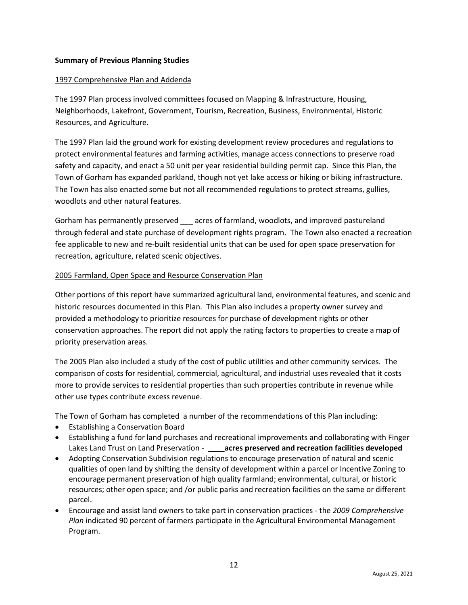### **Summary of Previous Planning Studies**

#### 1997 Comprehensive Plan and Addenda

The 1997 Plan process involved committees focused on Mapping & Infrastructure, Housing, Neighborhoods, Lakefront, Government, Tourism, Recreation, Business, Environmental, Historic Resources, and Agriculture.

The 1997 Plan laid the ground work for existing development review procedures and regulations to protect environmental features and farming activities, manage access connections to preserve road safety and capacity, and enact a 50 unit per year residential building permit cap. Since this Plan, the Town of Gorham has expanded parkland, though not yet lake access or hiking or biking infrastructure. The Town has also enacted some but not all recommended regulations to protect streams, gullies, woodlots and other natural features.

Gorham has permanently preserved acres of farmland, woodlots, and improved pastureland through federal and state purchase of development rights program. The Town also enacted a recreation fee applicable to new and re-built residential units that can be used for open space preservation for recreation, agriculture, related scenic objectives.

### 2005 Farmland, Open Space and Resource Conservation Plan

Other portions of this report have summarized agricultural land, environmental features, and scenic and historic resources documented in this Plan. This Plan also includes a property owner survey and provided a methodology to prioritize resources for purchase of development rights or other conservation approaches. The report did not apply the rating factors to properties to create a map of priority preservation areas.

The 2005 Plan also included a study of the cost of public utilities and other community services. The comparison of costs for residential, commercial, agricultural, and industrial uses revealed that it costs more to provide services to residential properties than such properties contribute in revenue while other use types contribute excess revenue.

The Town of Gorham has completed a number of the recommendations of this Plan including:

- Establishing a Conservation Board
- Establishing a fund for land purchases and recreational improvements and collaborating with Finger Lakes Land Trust on Land Preservation - **\_\_\_\_acres preserved and recreation facilities developed**
- Adopting Conservation Subdivision regulations to encourage preservation of natural and scenic qualities of open land by shifting the density of development within a parcel or Incentive Zoning to encourage permanent preservation of high quality farmland; environmental, cultural, or historic resources; other open space; and /or public parks and recreation facilities on the same or different parcel.
- Encourage and assist land owners to take part in conservation practices the *2009 Comprehensive Plan* indicated 90 percent of farmers participate in the Agricultural Environmental Management Program.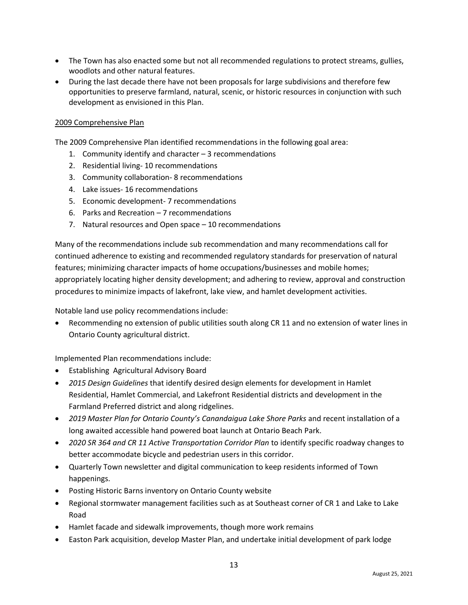- The Town has also enacted some but not all recommended regulations to protect streams, gullies, woodlots and other natural features.
- During the last decade there have not been proposals for large subdivisions and therefore few opportunities to preserve farmland, natural, scenic, or historic resources in conjunction with such development as envisioned in this Plan.

#### 2009 Comprehensive Plan

The 2009 Comprehensive Plan identified recommendations in the following goal area:

- 1. Community identify and character 3 recommendations
- 2. Residential living- 10 recommendations
- 3. Community collaboration- 8 recommendations
- 4. Lake issues- 16 recommendations
- 5. Economic development- 7 recommendations
- 6. Parks and Recreation 7 recommendations
- 7. Natural resources and Open space 10 recommendations

Many of the recommendations include sub recommendation and many recommendations call for continued adherence to existing and recommended regulatory standards for preservation of natural features; minimizing character impacts of home occupations/businesses and mobile homes; appropriately locating higher density development; and adhering to review, approval and construction procedures to minimize impacts of lakefront, lake view, and hamlet development activities.

Notable land use policy recommendations include:

• Recommending no extension of public utilities south along CR 11 and no extension of water lines in Ontario County agricultural district.

Implemented Plan recommendations include:

- Establishing Agricultural Advisory Board
- *2015 Design Guidelines* that identify desired design elements for development in Hamlet Residential, Hamlet Commercial, and Lakefront Residential districts and development in the Farmland Preferred district and along ridgelines.
- *2019 Master Plan for Ontario County's Canandaigua Lake Shore Parks* and recent installation of a long awaited accessible hand powered boat launch at Ontario Beach Park.
- *2020 SR 364 and CR 11 Active Transportation Corridor Plan* to identify specific roadway changes to better accommodate bicycle and pedestrian users in this corridor.
- Quarterly Town newsletter and digital communication to keep residents informed of Town happenings.
- Posting Historic Barns inventory on Ontario County website
- Regional stormwater management facilities such as at Southeast corner of CR 1 and Lake to Lake Road
- Hamlet facade and sidewalk improvements, though more work remains
- Easton Park acquisition, develop Master Plan, and undertake initial development of park lodge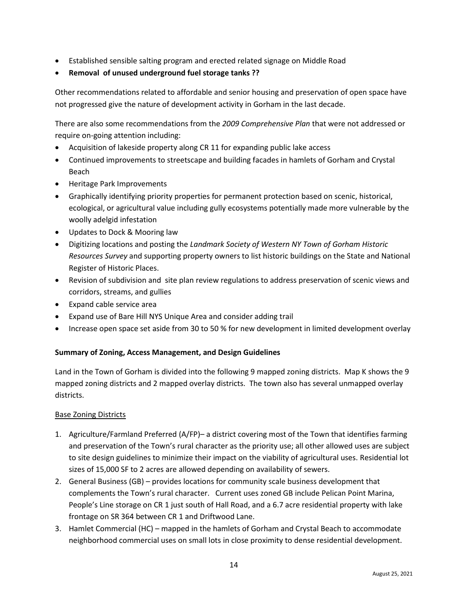- Established sensible salting program and erected related signage on Middle Road
- **Removal of unused underground fuel storage tanks ??**

Other recommendations related to affordable and senior housing and preservation of open space have not progressed give the nature of development activity in Gorham in the last decade.

There are also some recommendations from the *2009 Comprehensive Plan* that were not addressed or require on-going attention including:

- Acquisition of lakeside property along CR 11 for expanding public lake access
- Continued improvements to streetscape and building facades in hamlets of Gorham and Crystal Beach
- Heritage Park Improvements
- Graphically identifying priority properties for permanent protection based on scenic, historical, ecological, or agricultural value including gully ecosystems potentially made more vulnerable by the woolly adelgid infestation
- Updates to Dock & Mooring law
- Digitizing locations and posting the *Landmark Society of Western NY Town of Gorham Historic Resources Survey* and supporting property owners to list historic buildings on the State and National Register of Historic Places.
- Revision of subdivision and site plan review regulations to address preservation of scenic views and corridors, streams, and gullies
- Expand cable service area
- Expand use of Bare Hill NYS Unique Area and consider adding trail
- Increase open space set aside from 30 to 50 % for new development in limited development overlay

#### **Summary of Zoning, Access Management, and Design Guidelines**

Land in the Town of Gorham is divided into the following 9 mapped zoning districts. Map K shows the 9 mapped zoning districts and 2 mapped overlay districts. The town also has several unmapped overlay districts.

#### Base Zoning Districts

- 1. Agriculture/Farmland Preferred (A/FP)– a district covering most of the Town that identifies farming and preservation of the Town's rural character as the priority use; all other allowed uses are subject to site design guidelines to minimize their impact on the viability of agricultural uses. Residential lot sizes of 15,000 SF to 2 acres are allowed depending on availability of sewers.
- 2. General Business (GB) provides locations for community scale business development that complements the Town's rural character. Current uses zoned GB include Pelican Point Marina, People's Line storage on CR 1 just south of Hall Road, and a 6.7 acre residential property with lake frontage on SR 364 between CR 1 and Driftwood Lane.
- 3. Hamlet Commercial (HC) mapped in the hamlets of Gorham and Crystal Beach to accommodate neighborhood commercial uses on small lots in close proximity to dense residential development.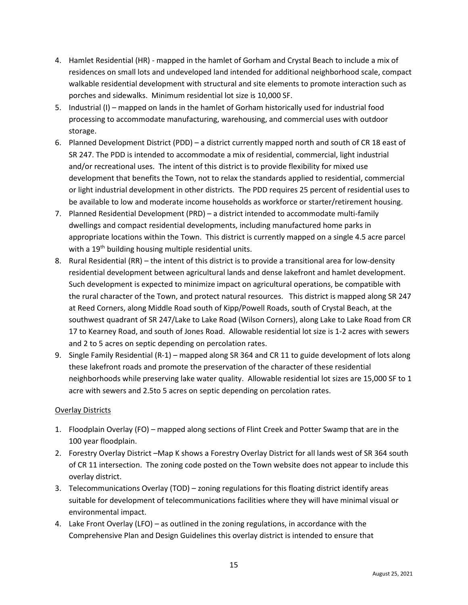- 4. Hamlet Residential (HR) mapped in the hamlet of Gorham and Crystal Beach to include a mix of residences on small lots and undeveloped land intended for additional neighborhood scale, compact walkable residential development with structural and site elements to promote interaction such as porches and sidewalks. Minimum residential lot size is 10,000 SF.
- 5. Industrial (I) mapped on lands in the hamlet of Gorham historically used for industrial food processing to accommodate manufacturing, warehousing, and commercial uses with outdoor storage.
- 6. Planned Development District (PDD) a district currently mapped north and south of CR 18 east of SR 247. The PDD is intended to accommodate a mix of residential, commercial, light industrial and/or recreational uses. The intent of this district is to provide flexibility for mixed use development that benefits the Town, not to relax the standards applied to residential, commercial or light industrial development in other districts. The PDD requires 25 percent of residential uses to be available to low and moderate income households as workforce or starter/retirement housing.
- 7. Planned Residential Development (PRD) a district intended to accommodate multi-family dwellings and compact residential developments, including manufactured home parks in appropriate locations within the Town. This district is currently mapped on a single 4.5 acre parcel with a 19<sup>th</sup> building housing multiple residential units.
- 8. Rural Residential (RR) the intent of this district is to provide a transitional area for low-density residential development between agricultural lands and dense lakefront and hamlet development. Such development is expected to minimize impact on agricultural operations, be compatible with the rural character of the Town, and protect natural resources. This district is mapped along SR 247 at Reed Corners, along Middle Road south of Kipp/Powell Roads, south of Crystal Beach, at the southwest quadrant of SR 247/Lake to Lake Road (Wilson Corners), along Lake to Lake Road from CR 17 to Kearney Road, and south of Jones Road. Allowable residential lot size is 1-2 acres with sewers and 2 to 5 acres on septic depending on percolation rates.
- 9. Single Family Residential (R-1) mapped along SR 364 and CR 11 to guide development of lots along these lakefront roads and promote the preservation of the character of these residential neighborhoods while preserving lake water quality. Allowable residential lot sizes are 15,000 SF to 1 acre with sewers and 2.5to 5 acres on septic depending on percolation rates.

#### Overlay Districts

- 1. Floodplain Overlay (FO) mapped along sections of Flint Creek and Potter Swamp that are in the 100 year floodplain.
- 2. Forestry Overlay District –Map K shows a Forestry Overlay District for all lands west of SR 364 south of CR 11 intersection. The zoning code posted on the Town website does not appear to include this overlay district.
- 3. Telecommunications Overlay (TOD) zoning regulations for this floating district identify areas suitable for development of telecommunications facilities where they will have minimal visual or environmental impact.
- 4. Lake Front Overlay (LFO) as outlined in the zoning regulations, in accordance with the Comprehensive Plan and Design Guidelines this overlay district is intended to ensure that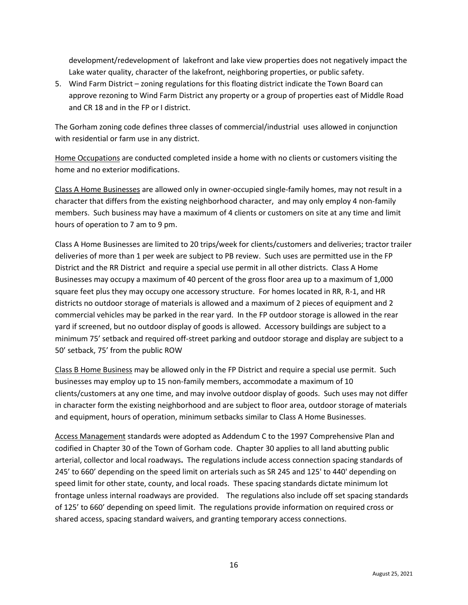development/redevelopment of lakefront and lake view properties does not negatively impact the Lake water quality, character of the lakefront, neighboring properties, or public safety.

5. Wind Farm District – zoning regulations for this floating district indicate the Town Board can approve rezoning to Wind Farm District any property or a group of properties east of Middle Road and CR 18 and in the FP or I district.

The Gorham zoning code defines three classes of commercial/industrial uses allowed in conjunction with residential or farm use in any district.

Home Occupations are conducted completed inside a home with no clients or customers visiting the home and no exterior modifications.

Class A Home Businesses are allowed only in owner-occupied single-family homes, may not result in a character that differs from the existing neighborhood character, and may only employ 4 non-family members. Such business may have a maximum of 4 clients or customers on site at any time and limit hours of operation to 7 am to 9 pm.

Class A Home Businesses are limited to 20 trips/week for clients/customers and deliveries; tractor trailer deliveries of more than 1 per week are subject to PB review. Such uses are permitted use in the FP District and the RR District and require a special use permit in all other districts. Class A Home Businesses may occupy a maximum of 40 percent of the gross floor area up to a maximum of 1,000 square feet plus they may occupy one accessory structure. For homes located in RR, R-1, and HR districts no outdoor storage of materials is allowed and a maximum of 2 pieces of equipment and 2 commercial vehicles may be parked in the rear yard. In the FP outdoor storage is allowed in the rear yard if screened, but no outdoor display of goods is allowed. Accessory buildings are subject to a minimum 75' setback and required off-street parking and outdoor storage and display are subject to a 50' setback, 75' from the public ROW

Class B Home Business may be allowed only in the FP District and require a special use permit. Such businesses may employ up to 15 non-family members, accommodate a maximum of 10 clients/customers at any one time, and may involve outdoor display of goods. Such uses may not differ in character form the existing neighborhood and are subject to floor area, outdoor storage of materials and equipment, hours of operation, minimum setbacks similar to Class A Home Businesses.

Access Management standards were adopted as Addendum C to the 1997 Comprehensive Plan and codified in Chapter 30 of the Town of Gorham code. Chapter 30 applies to all land abutting public arterial, collector and local roadways**.** The regulations include access connection spacing standards of 245' to 660' depending on the speed limit on arterials such as SR 245 and 125' to 440' depending on speed limit for other state, county, and local roads. These spacing standards dictate minimum lot frontage unless internal roadways are provided. The regulations also include off set spacing standards of 125' to 660' depending on speed limit. The regulations provide information on required cross or shared access, spacing standard waivers, and granting temporary access connections.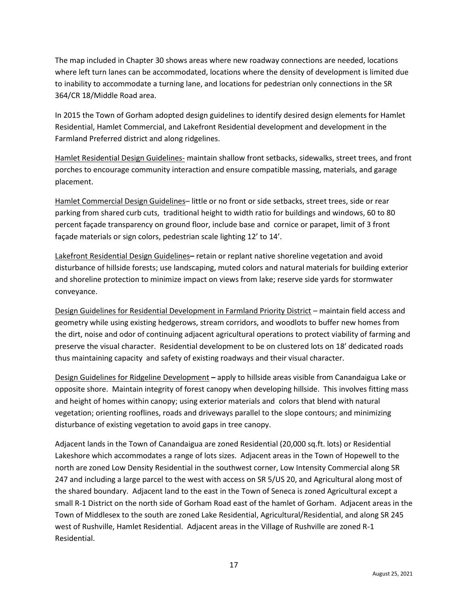The map included in Chapter 30 shows areas where new roadway connections are needed, locations where left turn lanes can be accommodated, locations where the density of development is limited due to inability to accommodate a turning lane, and locations for pedestrian only connections in the SR 364/CR 18/Middle Road area.

In 2015 the Town of Gorham adopted design guidelines to identify desired design elements for Hamlet Residential, Hamlet Commercial, and Lakefront Residential development and development in the Farmland Preferred district and along ridgelines.

Hamlet Residential Design Guidelines- maintain shallow front setbacks, sidewalks, street trees, and front porches to encourage community interaction and ensure compatible massing, materials, and garage placement.

Hamlet Commercial Design Guidelines– little or no front or side setbacks, street trees, side or rear parking from shared curb cuts, traditional height to width ratio for buildings and windows, 60 to 80 percent façade transparency on ground floor, include base and cornice or parapet, limit of 3 front façade materials or sign colors, pedestrian scale lighting 12' to 14'.

Lakefront Residential Design Guidelines**–** retain or replant native shoreline vegetation and avoid disturbance of hillside forests; use landscaping, muted colors and natural materials for building exterior and shoreline protection to minimize impact on views from lake; reserve side yards for stormwater conveyance.

Design Guidelines for Residential Development in Farmland Priority District – maintain field access and geometry while using existing hedgerows, stream corridors, and woodlots to buffer new homes from the dirt, noise and odor of continuing adjacent agricultural operations to protect viability of farming and preserve the visual character. Residential development to be on clustered lots on 18' dedicated roads thus maintaining capacity and safety of existing roadways and their visual character.

Design Guidelines for Ridgeline Development **–** apply to hillside areas visible from Canandaigua Lake or opposite shore. Maintain integrity of forest canopy when developing hillside. This involves fitting mass and height of homes within canopy; using exterior materials and colors that blend with natural vegetation; orienting rooflines, roads and driveways parallel to the slope contours; and minimizing disturbance of existing vegetation to avoid gaps in tree canopy.

Adjacent lands in the Town of Canandaigua are zoned Residential (20,000 sq.ft. lots) or Residential Lakeshore which accommodates a range of lots sizes. Adjacent areas in the Town of Hopewell to the north are zoned Low Density Residential in the southwest corner, Low Intensity Commercial along SR 247 and including a large parcel to the west with access on SR 5/US 20, and Agricultural along most of the shared boundary. Adjacent land to the east in the Town of Seneca is zoned Agricultural except a small R-1 District on the north side of Gorham Road east of the hamlet of Gorham. Adjacent areas in the Town of Middlesex to the south are zoned Lake Residential, Agricultural/Residential, and along SR 245 west of Rushville, Hamlet Residential. Adjacent areas in the Village of Rushville are zoned R-1 Residential.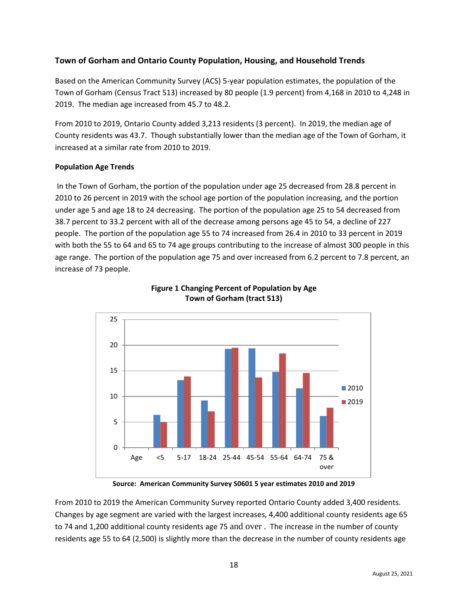## **Town of Gorham and Ontario County Population, Housing, and Household Trends**

Based on the American Community Survey (ACS) 5-year population estimates, the population of the Town of Gorham (Census Tract 513) increased by 80 people (1.9 percent) from 4,168 in 2010 to 4,248 in 2019. The median age increased from 45.7 to 48.2.

From 2010 to 2019, Ontario County added 3,213 residents (3 percent). In 2019, the median age of County residents was 43.7. Though substantially lower than the median age of the Town of Gorham, it increased at a similar rate from 2010 to 2019.

### **Population Age Trends**

In the Town of Gorham, the portion of the population under age 25 decreased from 28.8 percent in 2010 to 26 percent in 2019 with the school age portion of the population increasing, and the portion under age 5 and age 18 to 24 decreasing. The portion of the population age 25 to 54 decreased from 38.7 percent to 33.2 percent with all of the decrease among persons age 45 to 54, a decline of 227 people. The portion of the population age 55 to 74 increased from 26.4 in 2010 to 33 percent in 2019 with both the 55 to 64 and 65 to 74 age groups contributing to the increase of almost 300 people in this age range. The portion of the population age 75 and over increased from 6.2 percent to 7.8 percent, an increase of 73 people.





**Source: American Community Survey S0601 5 year estimates 2010 and 2019**

From 2010 to 2019 the American Community Survey reported Ontario County added 3,400 residents. Changes by age segment are varied with the largest increases, 4,400 additional county residents age 65 to 74 and 1,200 additional county residents age 75 and over . The increase in the number of county residents age 55 to 64 (2,500) is slightly more than the decrease in the number of county residents age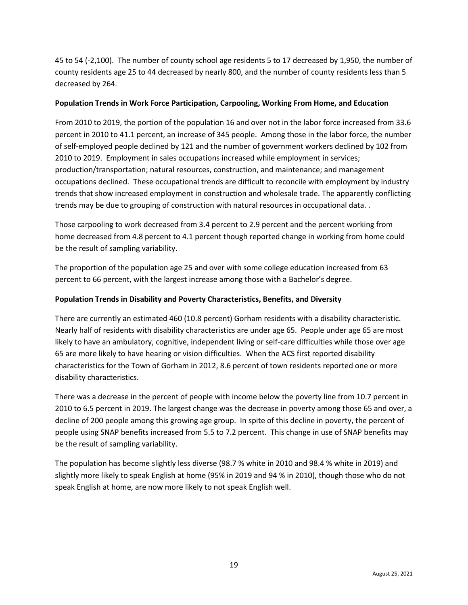45 to 54 (-2,100). The number of county school age residents 5 to 17 decreased by 1,950, the number of county residents age 25 to 44 decreased by nearly 800, and the number of county residents less than 5 decreased by 264.

#### **Population Trends in Work Force Participation, Carpooling, Working From Home, and Education**

From 2010 to 2019, the portion of the population 16 and over not in the labor force increased from 33.6 percent in 2010 to 41.1 percent, an increase of 345 people. Among those in the labor force, the number of self-employed people declined by 121 and the number of government workers declined by 102 from 2010 to 2019. Employment in sales occupations increased while employment in services; production/transportation; natural resources, construction, and maintenance; and management occupations declined. These occupational trends are difficult to reconcile with employment by industry trends that show increased employment in construction and wholesale trade. The apparently conflicting trends may be due to grouping of construction with natural resources in occupational data. .

Those carpooling to work decreased from 3.4 percent to 2.9 percent and the percent working from home decreased from 4.8 percent to 4.1 percent though reported change in working from home could be the result of sampling variability.

The proportion of the population age 25 and over with some college education increased from 63 percent to 66 percent, with the largest increase among those with a Bachelor's degree.

### **Population Trends in Disability and Poverty Characteristics, Benefits, and Diversity**

There are currently an estimated 460 (10.8 percent) Gorham residents with a disability characteristic. Nearly half of residents with disability characteristics are under age 65. People under age 65 are most likely to have an ambulatory, cognitive, independent living or self-care difficulties while those over age 65 are more likely to have hearing or vision difficulties. When the ACS first reported disability characteristics for the Town of Gorham in 2012, 8.6 percent of town residents reported one or more disability characteristics.

There was a decrease in the percent of people with income below the poverty line from 10.7 percent in 2010 to 6.5 percent in 2019. The largest change was the decrease in poverty among those 65 and over, a decline of 200 people among this growing age group. In spite of this decline in poverty, the percent of people using SNAP benefits increased from 5.5 to 7.2 percent. This change in use of SNAP benefits may be the result of sampling variability.

The population has become slightly less diverse (98.7 % white in 2010 and 98.4 % white in 2019) and slightly more likely to speak English at home (95% in 2019 and 94 % in 2010), though those who do not speak English at home, are now more likely to not speak English well.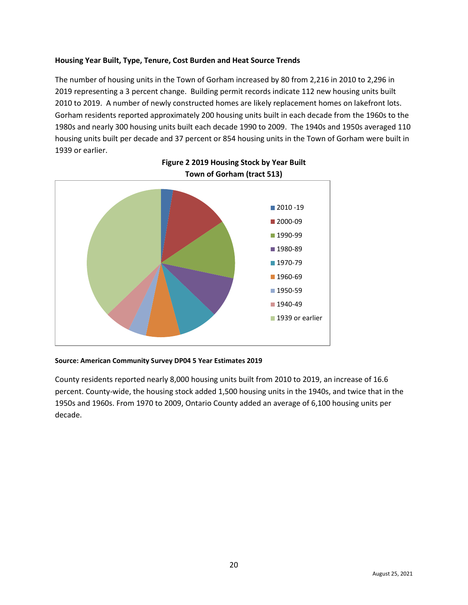#### **Housing Year Built, Type, Tenure, Cost Burden and Heat Source Trends**

The number of housing units in the Town of Gorham increased by 80 from 2,216 in 2010 to 2,296 in 2019 representing a 3 percent change. Building permit records indicate 112 new housing units built 2010 to 2019. A number of newly constructed homes are likely replacement homes on lakefront lots. Gorham residents reported approximately 200 housing units built in each decade from the 1960s to the 1980s and nearly 300 housing units built each decade 1990 to 2009. The 1940s and 1950s averaged 110 housing units built per decade and 37 percent or 854 housing units in the Town of Gorham were built in 1939 or earlier.



## **Figure 2 2019 Housing Stock by Year Built Town of Gorham (tract 513)**

#### **Source: American Community Survey DP04 5 Year Estimates 2019**

County residents reported nearly 8,000 housing units built from 2010 to 2019, an increase of 16.6 percent. County-wide, the housing stock added 1,500 housing units in the 1940s, and twice that in the 1950s and 1960s. From 1970 to 2009, Ontario County added an average of 6,100 housing units per decade.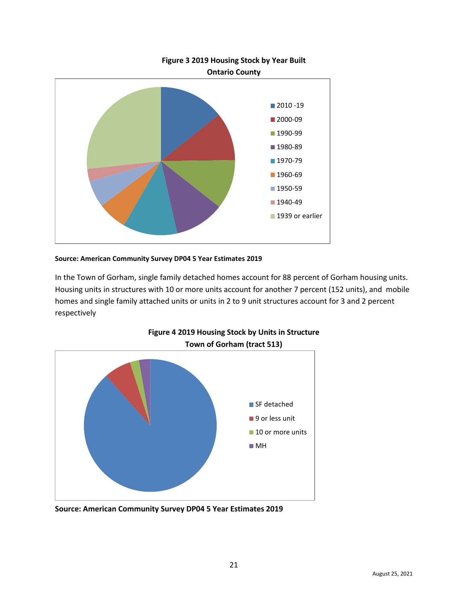

### **Source: American Community Survey DP04 5 Year Estimates 2019**

In the Town of Gorham, single family detached homes account for 88 percent of Gorham housing units. Housing units in structures with 10 or more units account for another 7 percent (152 units), and mobile homes and single family attached units or units in 2 to 9 unit structures account for 3 and 2 percent respectively



**Figure 4 2019 Housing Stock by Units in Structure**

**Source: American Community Survey DP04 5 Year Estimates 2019**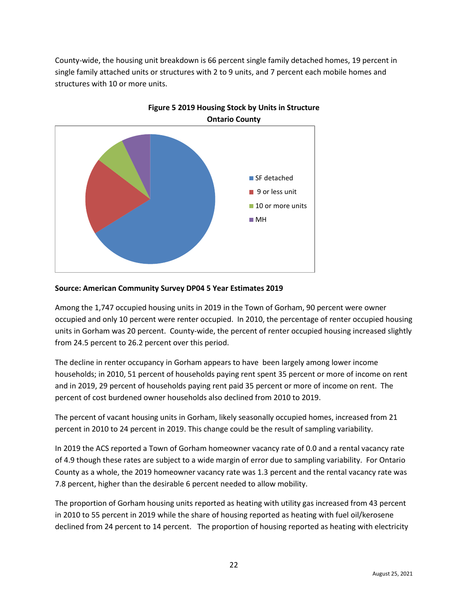County-wide, the housing unit breakdown is 66 percent single family detached homes, 19 percent in single family attached units or structures with 2 to 9 units, and 7 percent each mobile homes and structures with 10 or more units.





#### **Source: American Community Survey DP04 5 Year Estimates 2019**

Among the 1,747 occupied housing units in 2019 in the Town of Gorham, 90 percent were owner occupied and only 10 percent were renter occupied. In 2010, the percentage of renter occupied housing units in Gorham was 20 percent. County-wide, the percent of renter occupied housing increased slightly from 24.5 percent to 26.2 percent over this period.

The decline in renter occupancy in Gorham appears to have been largely among lower income households; in 2010, 51 percent of households paying rent spent 35 percent or more of income on rent and in 2019, 29 percent of households paying rent paid 35 percent or more of income on rent. The percent of cost burdened owner households also declined from 2010 to 2019.

The percent of vacant housing units in Gorham, likely seasonally occupied homes, increased from 21 percent in 2010 to 24 percent in 2019. This change could be the result of sampling variability.

In 2019 the ACS reported a Town of Gorham homeowner vacancy rate of 0.0 and a rental vacancy rate of 4.9 though these rates are subject to a wide margin of error due to sampling variability. For Ontario County as a whole, the 2019 homeowner vacancy rate was 1.3 percent and the rental vacancy rate was 7.8 percent, higher than the desirable 6 percent needed to allow mobility.

The proportion of Gorham housing units reported as heating with utility gas increased from 43 percent in 2010 to 55 percent in 2019 while the share of housing reported as heating with fuel oil/kerosene declined from 24 percent to 14 percent. The proportion of housing reported as heating with electricity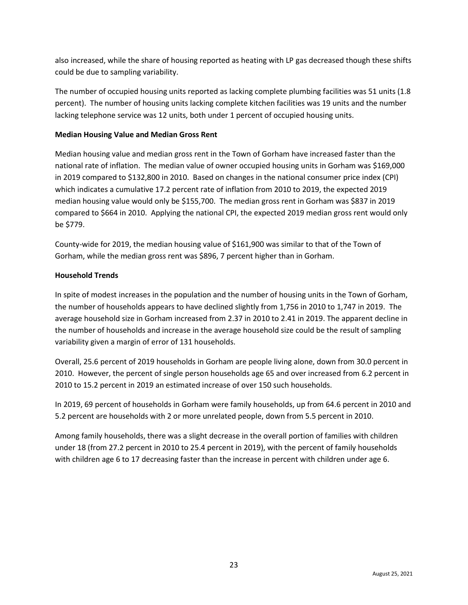also increased, while the share of housing reported as heating with LP gas decreased though these shifts could be due to sampling variability.

The number of occupied housing units reported as lacking complete plumbing facilities was 51 units (1.8 percent). The number of housing units lacking complete kitchen facilities was 19 units and the number lacking telephone service was 12 units, both under 1 percent of occupied housing units.

#### **Median Housing Value and Median Gross Rent**

Median housing value and median gross rent in the Town of Gorham have increased faster than the national rate of inflation. The median value of owner occupied housing units in Gorham was \$169,000 in 2019 compared to \$132,800 in 2010. Based on changes in the national consumer price index (CPI) which indicates a cumulative 17.2 percent rate of inflation from 2010 to 2019, the expected 2019 median housing value would only be \$155,700. The median gross rent in Gorham was \$837 in 2019 compared to \$664 in 2010. Applying the national CPI, the expected 2019 median gross rent would only be \$779.

County-wide for 2019, the median housing value of \$161,900 was similar to that of the Town of Gorham, while the median gross rent was \$896, 7 percent higher than in Gorham.

### **Household Trends**

In spite of modest increases in the population and the number of housing units in the Town of Gorham, the number of households appears to have declined slightly from 1,756 in 2010 to 1,747 in 2019. The average household size in Gorham increased from 2.37 in 2010 to 2.41 in 2019. The apparent decline in the number of households and increase in the average household size could be the result of sampling variability given a margin of error of 131 households.

Overall, 25.6 percent of 2019 households in Gorham are people living alone, down from 30.0 percent in 2010. However, the percent of single person households age 65 and over increased from 6.2 percent in 2010 to 15.2 percent in 2019 an estimated increase of over 150 such households.

In 2019, 69 percent of households in Gorham were family households, up from 64.6 percent in 2010 and 5.2 percent are households with 2 or more unrelated people, down from 5.5 percent in 2010.

Among family households, there was a slight decrease in the overall portion of families with children under 18 (from 27.2 percent in 2010 to 25.4 percent in 2019), with the percent of family households with children age 6 to 17 decreasing faster than the increase in percent with children under age 6.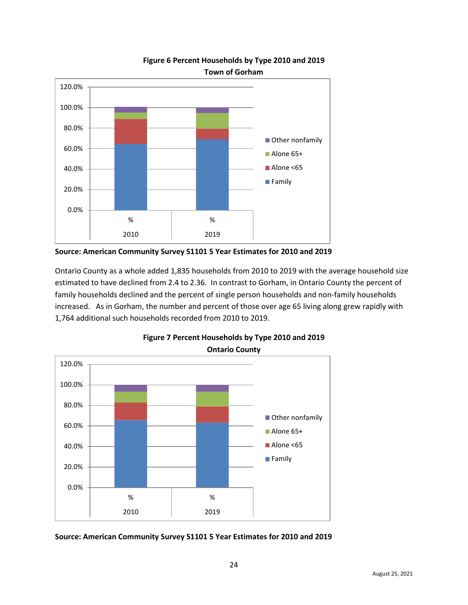

## **Figure 6 Percent Households by Type 2010 and 2019 Town of Gorham**

**Source: American Community Survey S1101 5 Year Estimates for 2010 and 2019** 

Ontario County as a whole added 1,835 households from 2010 to 2019 with the average household size estimated to have declined from 2.4 to 2.36. In contrast to Gorham, in Ontario County the percent of family households declined and the percent of single person households and non-family households increased. As in Gorham, the number and percent of those over age 65 living along grew rapidly with 1,764 additional such households recorded from 2010 to 2019.





**Source: American Community Survey S1101 5 Year Estimates for 2010 and 2019**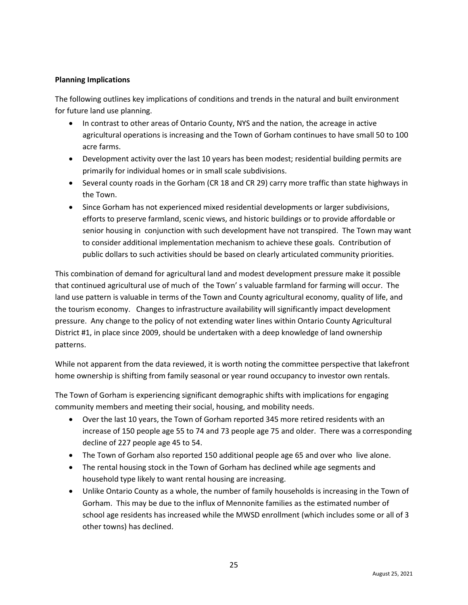## **Planning Implications**

The following outlines key implications of conditions and trends in the natural and built environment for future land use planning.

- In contrast to other areas of Ontario County, NYS and the nation, the acreage in active agricultural operations is increasing and the Town of Gorham continues to have small 50 to 100 acre farms.
- Development activity over the last 10 years has been modest; residential building permits are primarily for individual homes or in small scale subdivisions.
- Several county roads in the Gorham (CR 18 and CR 29) carry more traffic than state highways in the Town.
- Since Gorham has not experienced mixed residential developments or larger subdivisions, efforts to preserve farmland, scenic views, and historic buildings or to provide affordable or senior housing in conjunction with such development have not transpired. The Town may want to consider additional implementation mechanism to achieve these goals. Contribution of public dollars to such activities should be based on clearly articulated community priorities.

This combination of demand for agricultural land and modest development pressure make it possible that continued agricultural use of much of the Town' s valuable farmland for farming will occur. The land use pattern is valuable in terms of the Town and County agricultural economy, quality of life, and the tourism economy. Changes to infrastructure availability will significantly impact development pressure. Any change to the policy of not extending water lines within Ontario County Agricultural District #1, in place since 2009, should be undertaken with a deep knowledge of land ownership patterns.

While not apparent from the data reviewed, it is worth noting the committee perspective that lakefront home ownership is shifting from family seasonal or year round occupancy to investor own rentals.

The Town of Gorham is experiencing significant demographic shifts with implications for engaging community members and meeting their social, housing, and mobility needs.

- Over the last 10 years, the Town of Gorham reported 345 more retired residents with an increase of 150 people age 55 to 74 and 73 people age 75 and older. There was a corresponding decline of 227 people age 45 to 54.
- The Town of Gorham also reported 150 additional people age 65 and over who live alone.
- The rental housing stock in the Town of Gorham has declined while age segments and household type likely to want rental housing are increasing.
- Unlike Ontario County as a whole, the number of family households is increasing in the Town of Gorham. This may be due to the influx of Mennonite families as the estimated number of school age residents has increased while the MWSD enrollment (which includes some or all of 3 other towns) has declined.